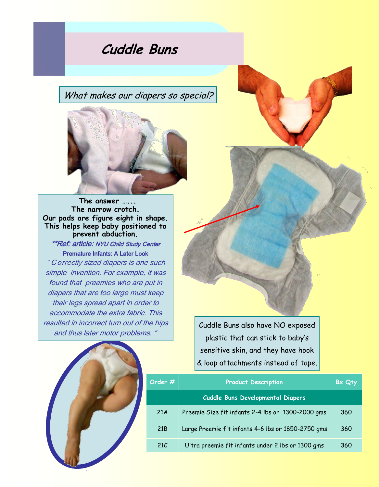**Cuddle Buns**

What makes our diapers so special?



 **The answer …... The narrow crotch. Our pads are figure eight in shape. This helps keep baby positioned to prevent abduction.**  \*\*Ref: article: NYU Child Study Center Premature Infants: A Later Look " C orrectly sized diapers is one such simple invention. For example, it was found that preemies who are put in diapers that are too large must keep their legs spread apart in order to accommodate the extra fabric. This resulted in incorrect turn out of the hips and thus later motor problems. "

Cuddle Buns also have NO exposed plastic that can stick to baby's sensitive skin, and they have hook & loop attachments instead of tape.



| Order $\#$                               | <b>Product Description</b>                         | Bx Qty |
|------------------------------------------|----------------------------------------------------|--------|
| <b>Cuddle Buns Developmental Diapers</b> |                                                    |        |
| 21A                                      | Preemie Size fit infants 2-4 lbs or 1300-2000 gms  | 360    |
| 21 <sub>B</sub>                          | Large Preemie fit infants 4-6 lbs or 1850-2750 gms | 360    |
| 21C                                      | Ultra preemie fit infants under 2 lbs or 1300 gms  | 360    |